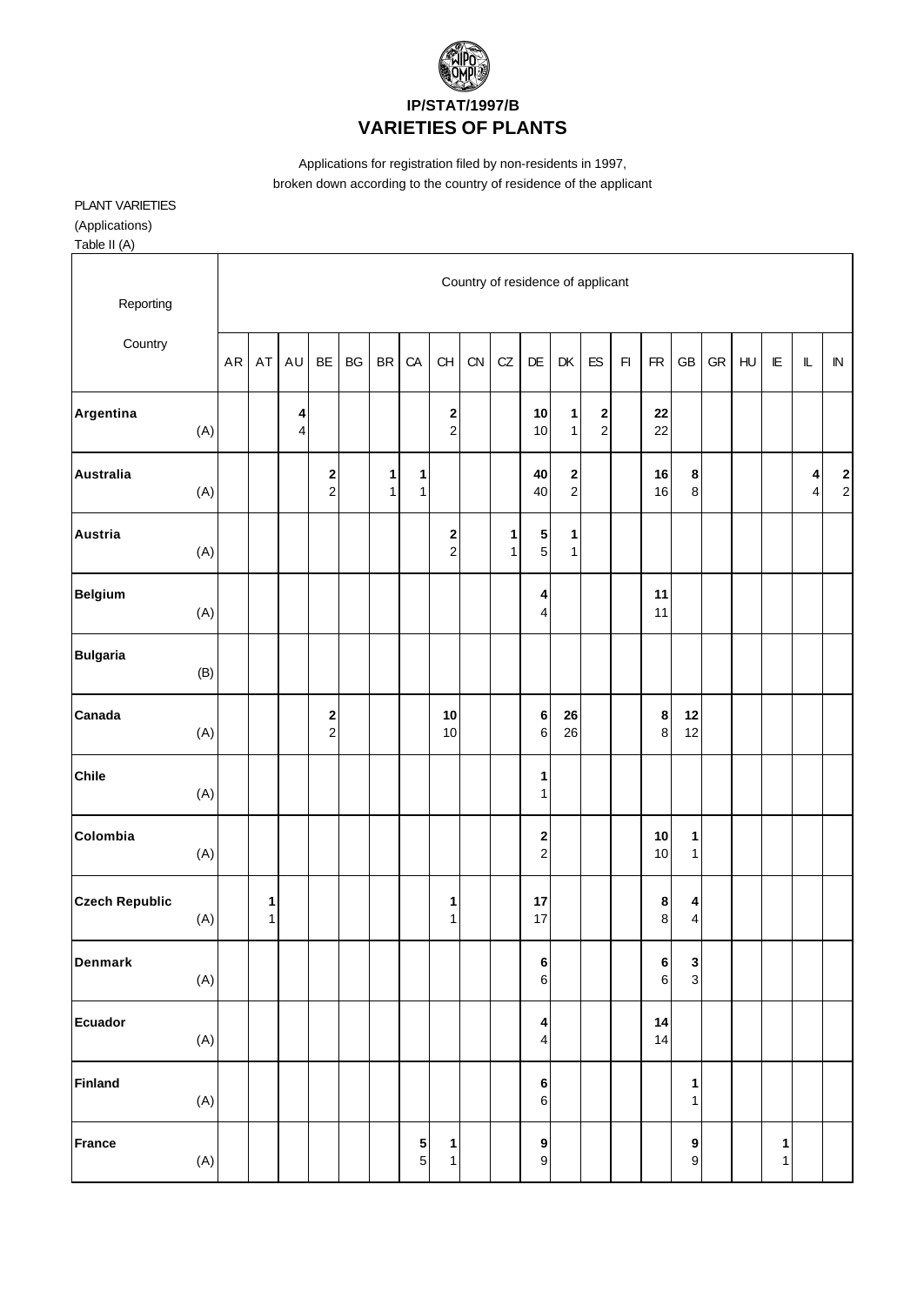

### **IP/STAT/1997/B VARIETIES OF PLANTS**

Applications for registration filed by non-residents in 1997, broken down according to the country of residence of the applicant

#### PLANT VARIETIES (Applications)

Table II (A)

| Reporting<br>Country  |     |           |        |        |               |    |                   |                                  |                              |    |                   | Country of residence of applicant  |                                    |                                          |                         |                               |                                |            |                |                        |                             |                                       |
|-----------------------|-----|-----------|--------|--------|---------------|----|-------------------|----------------------------------|------------------------------|----|-------------------|------------------------------------|------------------------------------|------------------------------------------|-------------------------|-------------------------------|--------------------------------|------------|----------------|------------------------|-----------------------------|---------------------------------------|
|                       |     | <b>AR</b> | AT     | AU     | BE            | BG | <b>BR</b>         | CA                               | CH                           | CN | CZ                | $\mathsf{D}\mathsf{E}$             | DK                                 | ${\sf ES}$                               | $\mathsf{F} \mathsf{I}$ | ${\sf FR}$                    | GB                             | ${\sf GR}$ | H <sub>U</sub> | $\mathsf{I}\mathsf{E}$ | $\mathbb L$                 | ${\sf IN}$                            |
| Argentina             | (A) |           |        | 4<br>4 |               |    |                   |                                  | $\frac{2}{2}$                |    |                   | 10<br>10                           | 1<br>$\mathbf{1}$                  | $\begin{array}{c} \n2 \\ 2\n\end{array}$ |                         | 22<br>22                      |                                |            |                |                        |                             |                                       |
| <b>Australia</b>      | (A) |           |        |        | $\frac{2}{2}$ |    | 1<br>$\mathbf{1}$ | 1<br>$\mathbf{1}$                |                              |    |                   | 40<br>40                           | $\begin{array}{c} \n2 \end{array}$ |                                          |                         | 16<br>16                      | 8<br>8                         |            |                |                        | $\pmb{4}$<br>$\overline{4}$ | $\begin{array}{c} 2 \\ 2 \end{array}$ |
| Austria               | (A) |           |        |        |               |    |                   |                                  | 2<br>$\overline{c}$          |    | 1<br>$\mathbf{1}$ | ${\bf 5}$<br>$5\overline{)}$       | 1<br>$\mathbf{1}$                  |                                          |                         |                               |                                |            |                |                        |                             |                                       |
| <b>Belgium</b>        | (A) |           |        |        |               |    |                   |                                  |                              |    |                   | 4<br>4                             |                                    |                                          |                         | 11<br>11                      |                                |            |                |                        |                             |                                       |
| <b>Bulgaria</b>       | (B) |           |        |        |               |    |                   |                                  |                              |    |                   |                                    |                                    |                                          |                         |                               |                                |            |                |                        |                             |                                       |
| Canada                | (A) |           |        |        | $\frac{2}{2}$ |    |                   |                                  | 10<br>$10$                   |    |                   | $\bf 6$<br>$\,6\,$                 | 26<br>26                           |                                          |                         | $\bf 8$<br>$\mathbf{8}$       | 12<br>12                       |            |                |                        |                             |                                       |
| <b>Chile</b>          | (A) |           |        |        |               |    |                   |                                  |                              |    |                   | 1<br>1                             |                                    |                                          |                         |                               |                                |            |                |                        |                             |                                       |
| Colombia              | (A) |           |        |        |               |    |                   |                                  |                              |    |                   | $\bf{2}$<br>$\overline{c}$         |                                    |                                          |                         | 10<br>10                      | 1<br>$\mathbf{1}$              |            |                |                        |                             |                                       |
| <b>Czech Republic</b> | (A) |           | 1<br>1 |        |               |    |                   |                                  | 1<br>$\mathbf{1}$            |    |                   | 17<br>17                           |                                    |                                          |                         | $\bf8$<br>$\,8\,$             | 4<br>$\overline{\mathbf{4}}$   |            |                |                        |                             |                                       |
| <b>Denmark</b>        | (A) |           |        |        |               |    |                   |                                  |                              |    |                   | 6<br>$6 \overline{6}$              |                                    |                                          |                         | $6\overline{6}$<br>$\sqrt{6}$ | $\mathbf{3}$<br>$\overline{3}$ |            |                |                        |                             |                                       |
| <b>Ecuador</b>        | (A) |           |        |        |               |    |                   |                                  |                              |    |                   | $\vert$<br>$\overline{\mathbf{r}}$ |                                    |                                          |                         | 14<br>14                      |                                |            |                |                        |                             |                                       |
| <b>Finland</b>        | (A) |           |        |        |               |    |                   |                                  |                              |    |                   | $\bf 6$<br>$6 \overline{6}$        |                                    |                                          |                         |                               | 1<br>1                         |            |                |                        |                             |                                       |
| <b>France</b>         | (A) |           |        |        |               |    |                   | 5 <sub>5</sub><br>5 <sup>1</sup> | $\mathbf{1}$<br>$\mathbf{1}$ |    |                   | 9<br>$\boldsymbol{9}$              |                                    |                                          |                         |                               | 9<br>9                         |            |                | 1<br>1                 |                             |                                       |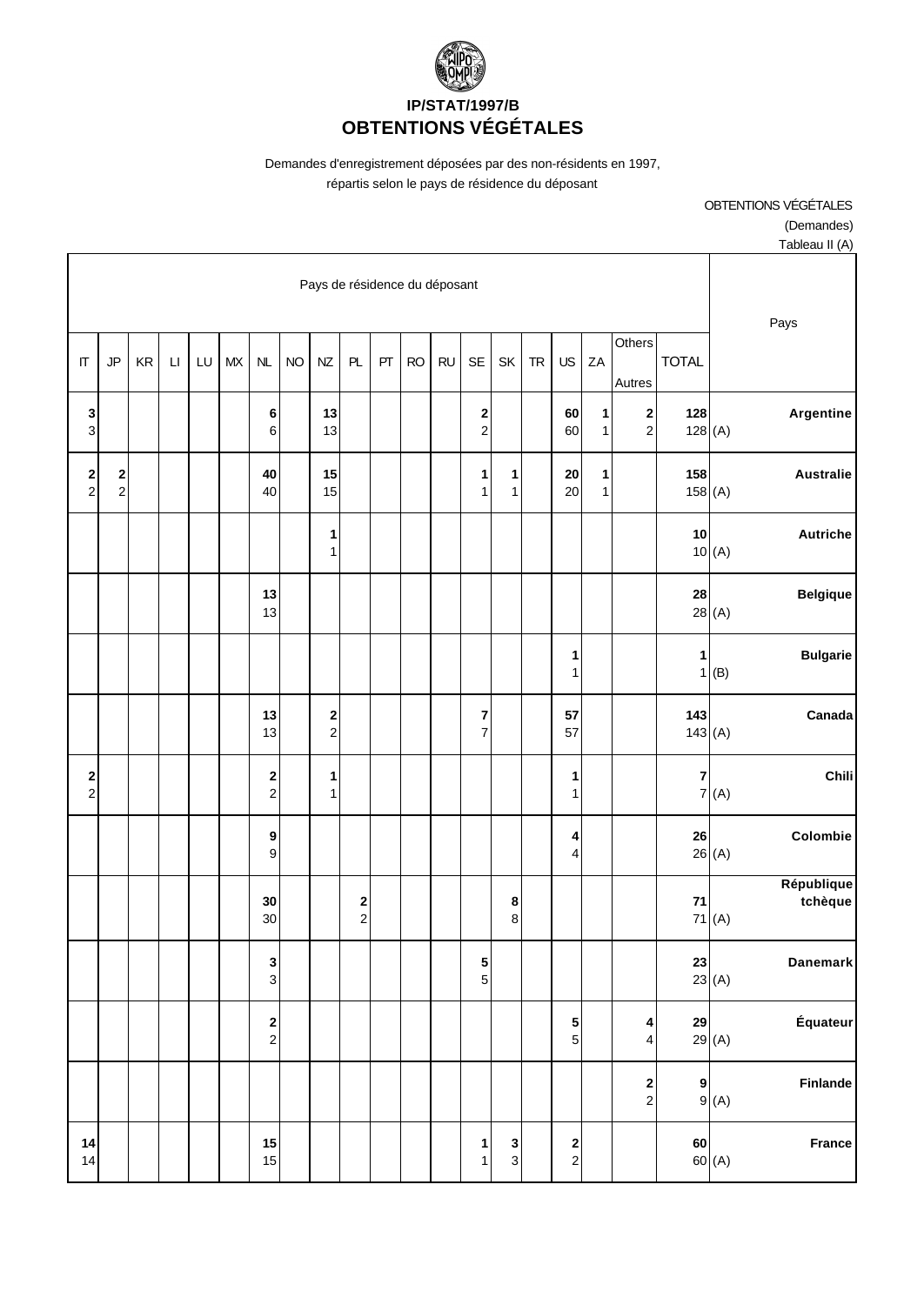

# **IP/STAT/1997/B OBTENTIONS VÉGÉTALES**

Demandes d'enregistrement déposées par des non-résidents en 1997,

OBTENTIONS VÉGÉTALES

(Demandes)

répartis selon le pays de résidence du déposant

| Tableau II (A)                 |                               |                                       |                   |                                       |           |                   |                     |           |           |    |                     |                               |           |                               |    |    |                        |    |                            |                                                |
|--------------------------------|-------------------------------|---------------------------------------|-------------------|---------------------------------------|-----------|-------------------|---------------------|-----------|-----------|----|---------------------|-------------------------------|-----------|-------------------------------|----|----|------------------------|----|----------------------------|------------------------------------------------|
| Pays                           | Pays de résidence du déposant |                                       |                   |                                       |           |                   |                     |           |           |    |                     |                               |           |                               |    |    |                        |    |                            |                                                |
|                                | <b>TOTAL</b>                  | $\overline{O}$ thers<br>Autres        | ZA                | <b>US</b>                             | <b>TR</b> | SK                | <b>SE</b>           | <b>RU</b> | <b>RO</b> | PT | PL                  | NZ                            | <b>NO</b> | NL                            | MX | LU | $\mathsf{L}\mathsf{I}$ | KR | JP                         | $\Pi$                                          |
| Argentine<br>128(A)            | 128                           | $\mathbf 2$<br>$\mathbf{2}$           | 1<br>$\mathbf{1}$ | 60<br>60                              |           |                   | 2<br>$\overline{c}$ |           |           |    |                     | 13<br>13                      |           | 6<br>$\,6$                    |    |    |                        |    |                            | $\frac{3}{3}$                                  |
| <b>Australie</b>               | 158<br>158(A)                 |                                       | 1<br>$\mathbf{1}$ | 20<br>20                              |           | 1<br>$\mathbf{1}$ | 1<br>$\mathbf{1}$   |           |           |    |                     | 15<br>15                      |           | 40<br>40                      |    |    |                        |    | $\mathbf 2$<br>$\mathbf 2$ | $\begin{array}{c} \mathbf{2} \\ 2 \end{array}$ |
| <b>Autriche</b><br>10(A)       | 10                            |                                       |                   |                                       |           |                   |                     |           |           |    |                     | $\mathbf{1}$<br>1             |           |                               |    |    |                        |    |                            |                                                |
| <b>Belgique</b><br>28(A)       | 28                            |                                       |                   |                                       |           |                   |                     |           |           |    |                     |                               |           | 13<br>13                      |    |    |                        |    |                            |                                                |
| <b>Bulgarie</b><br>$1($ B)     | 1                             |                                       |                   | 1<br>1                                |           |                   |                     |           |           |    |                     |                               |           |                               |    |    |                        |    |                            |                                                |
| Canada<br>143(A)               | 143                           |                                       |                   | 57<br>57                              |           |                   | 7<br>$\overline{7}$ |           |           |    |                     | $\mathbf 2$<br>$\overline{2}$ |           | 13<br>13                      |    |    |                        |    |                            |                                                |
| Chili<br>7(A)                  | $\mathbf{7}$                  |                                       |                   | 1<br>1                                |           |                   |                     |           |           |    |                     | $\mathbf{1}$<br>1             |           | $\mathbf 2$<br>$\overline{2}$ |    |    |                        |    |                            | $\begin{array}{c} \mathbf{2} \\ 2 \end{array}$ |
| Colombie<br>26(A)              | 26                            |                                       |                   | 4<br>4                                |           |                   |                     |           |           |    |                     |                               |           | 9<br>$\mathsf g$              |    |    |                        |    |                            |                                                |
| République<br>tchèque<br>71(A) | 71                            |                                       |                   |                                       |           | 8<br>8            |                     |           |           |    | 2<br>$\overline{c}$ |                               |           | 30<br>30                      |    |    |                        |    |                            |                                                |
| <b>Danemark</b><br>23(A)       | 23                            |                                       |                   |                                       |           |                   | 5<br>5              |           |           |    |                     |                               |           | $\mathbf 3$<br>$\overline{3}$ |    |    |                        |    |                            |                                                |
| Équateur<br>29(A)              | 29                            | 4<br>$\overline{\mathbf{4}}$          |                   | $\frac{5}{5}$                         |           |                   |                     |           |           |    |                     |                               |           | $\mathbf 2$<br>$\overline{2}$ |    |    |                        |    |                            |                                                |
| <b>Finlande</b><br>9(A)        | 9                             | $\begin{array}{c} 2 \\ 2 \end{array}$ |                   |                                       |           |                   |                     |           |           |    |                     |                               |           |                               |    |    |                        |    |                            |                                                |
| France<br>60(A)                | 60                            |                                       |                   | $\begin{array}{c} 2 \\ 2 \end{array}$ |           | $\frac{3}{3}$     | 1<br>$\mathbf{1}$   |           |           |    |                     |                               |           | 15<br>15                      |    |    |                        |    |                            | 14<br>14                                       |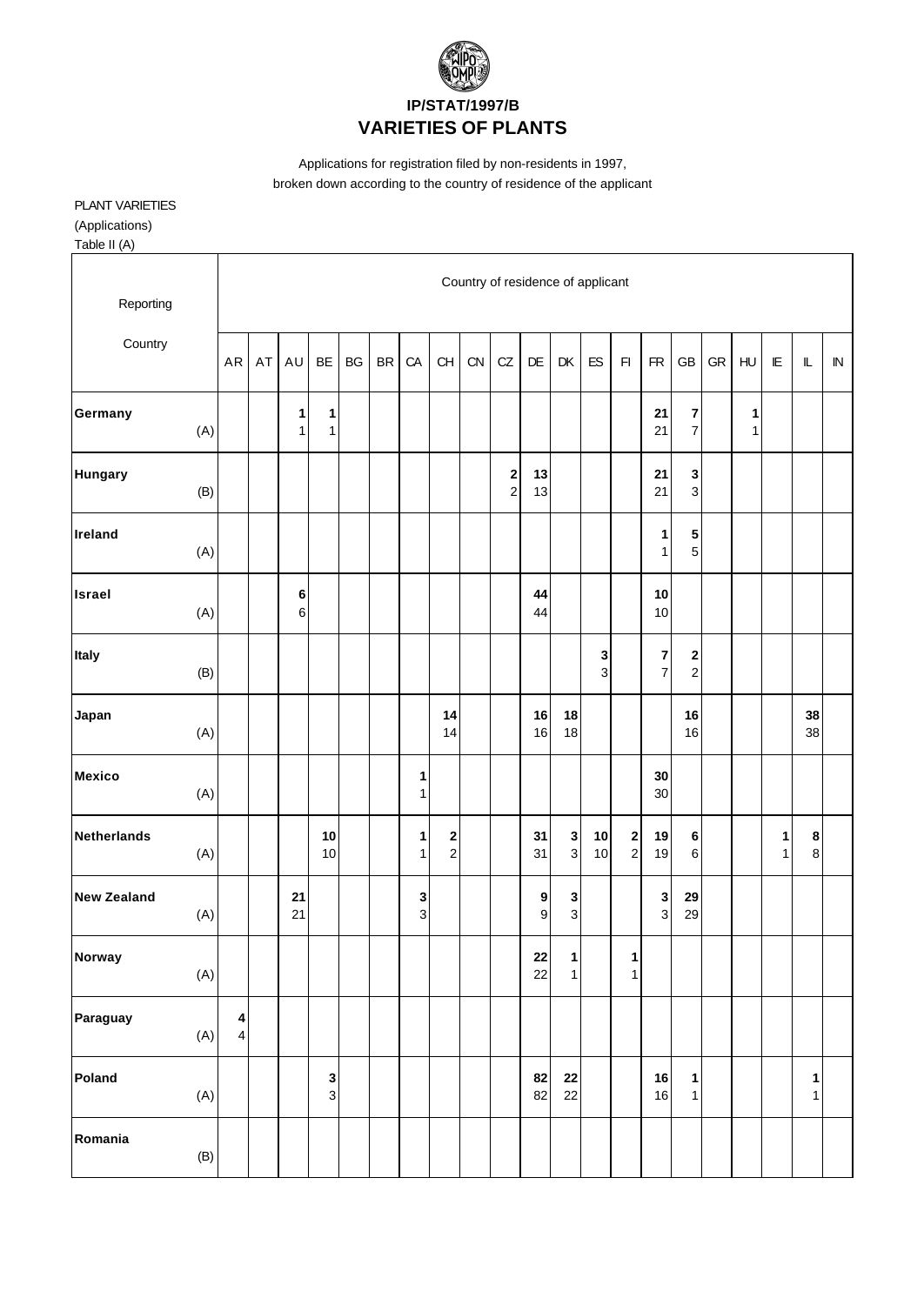

### **IP/STAT/1997/B VARIETIES OF PLANTS**

Applications for registration filed by non-residents in 1997, broken down according to the country of residence of the applicant

#### PLANT VARIETIES (Applications)

Table II (A)

| Reporting                            |                                                    |    |                   |                   |           |           |                   |                                       |    | Country of residence of applicant |                           |                               |          |                                             |                           |                              |            |        |                   |                              |            |
|--------------------------------------|----------------------------------------------------|----|-------------------|-------------------|-----------|-----------|-------------------|---------------------------------------|----|-----------------------------------|---------------------------|-------------------------------|----------|---------------------------------------------|---------------------------|------------------------------|------------|--------|-------------------|------------------------------|------------|
| Country                              | ${\sf AR}$                                         | AT | AU                | BE                | <b>BG</b> | <b>BR</b> | CA                | CH                                    | CN | CZ                                | DE                        | DK                            | ES       | F1                                          | <b>FR</b>                 | <b>GB</b>                    | ${\sf GR}$ | HU     | E                 | $\mathbb L$                  | ${\sf IN}$ |
| Germany<br>(A)                       |                                                    |    | 1<br>$\mathbf{1}$ | 1<br>$\mathbf{1}$ |           |           |                   |                                       |    |                                   |                           |                               |          |                                             | 21<br>21                  | 7<br>$\overline{\mathbf{7}}$ |            | 1<br>1 |                   |                              |            |
| <b>Hungary</b><br>(B)                |                                                    |    |                   |                   |           |           |                   |                                       |    | $\frac{2}{2}$                     | 13<br>13                  |                               |          |                                             | 21<br>21                  | 3<br>3                       |            |        |                   |                              |            |
| Ireland<br>(A)                       |                                                    |    |                   |                   |           |           |                   |                                       |    |                                   |                           |                               |          |                                             | 1<br>$\mathbf{1}$         | 5<br>$\overline{5}$          |            |        |                   |                              |            |
| Israel<br>(A)                        |                                                    |    | 6<br>$\,6$        |                   |           |           |                   |                                       |    |                                   | 44<br>44                  |                               |          |                                             | $10$<br>10                |                              |            |        |                   |                              |            |
| Italy<br>(B)                         |                                                    |    |                   |                   |           |           |                   |                                       |    |                                   |                           |                               | <b>ვ</b> |                                             | $\bf 7$<br>$\overline{7}$ | 2<br>$\mathbf 2$             |            |        |                   |                              |            |
| Japan<br>(A)                         |                                                    |    |                   |                   |           |           |                   | 14<br>14                              |    |                                   | 16<br>16                  | 18<br>18                      |          |                                             |                           | 16<br>16                     |            |        |                   | 38<br>38                     |            |
| <b>Mexico</b><br>(A)                 |                                                    |    |                   |                   |           |           | 1<br>$\mathbf{1}$ |                                       |    |                                   |                           |                               |          |                                             | 30<br>30                  |                              |            |        |                   |                              |            |
| Netherlands<br>(A)                   |                                                    |    |                   | 10<br>10          |           |           | 1<br>1            | $\begin{array}{c} 2 \\ 2 \end{array}$ |    |                                   | 31<br>31                  | $\mathbf 3$<br>$\overline{3}$ | 10<br>10 | $\begin{array}{c} \n2 \\ \n2 \n\end{array}$ | 19<br>19                  | 6<br>6                       |            |        | 1<br>$\mathbf{1}$ | 8<br>$\mathbf{8}$            |            |
| <b>New Zealand</b><br>(A)            |                                                    |    | 21<br>21          |                   |           |           | 3<br>$\mathbf{3}$ |                                       |    |                                   | $\boldsymbol{9}$<br>$9\,$ | $\mathbf{3}$<br>$\mathbf{3}$  |          |                                             | $\mathbf 3$<br>3          | 29<br>29                     |            |        |                   |                              |            |
| Norway<br>(A)                        |                                                    |    |                   |                   |           |           |                   |                                       |    |                                   | 22<br>22                  | 1<br>1                        |          | $\mathbf{1}$<br>$\mathbf{1}$                |                           |                              |            |        |                   |                              |            |
| Paraguay<br>(A)                      | $\overline{\mathbf{4}}$<br>$\overline{\mathbf{4}}$ |    |                   |                   |           |           |                   |                                       |    |                                   |                           |                               |          |                                             |                           |                              |            |        |                   |                              |            |
| Poland<br>(A)                        |                                                    |    |                   | $\frac{3}{3}$     |           |           |                   |                                       |    |                                   | 82<br>82                  | ${\bf 22}$<br>22              |          |                                             | ${\bf 16}$<br>16          | 1<br>$\mathbf{1}$            |            |        |                   | $\mathbf{1}$<br>$\mathbf{1}$ |            |
| Romania<br>$\left(\mathsf{B}\right)$ |                                                    |    |                   |                   |           |           |                   |                                       |    |                                   |                           |                               |          |                                             |                           |                              |            |        |                   |                              |            |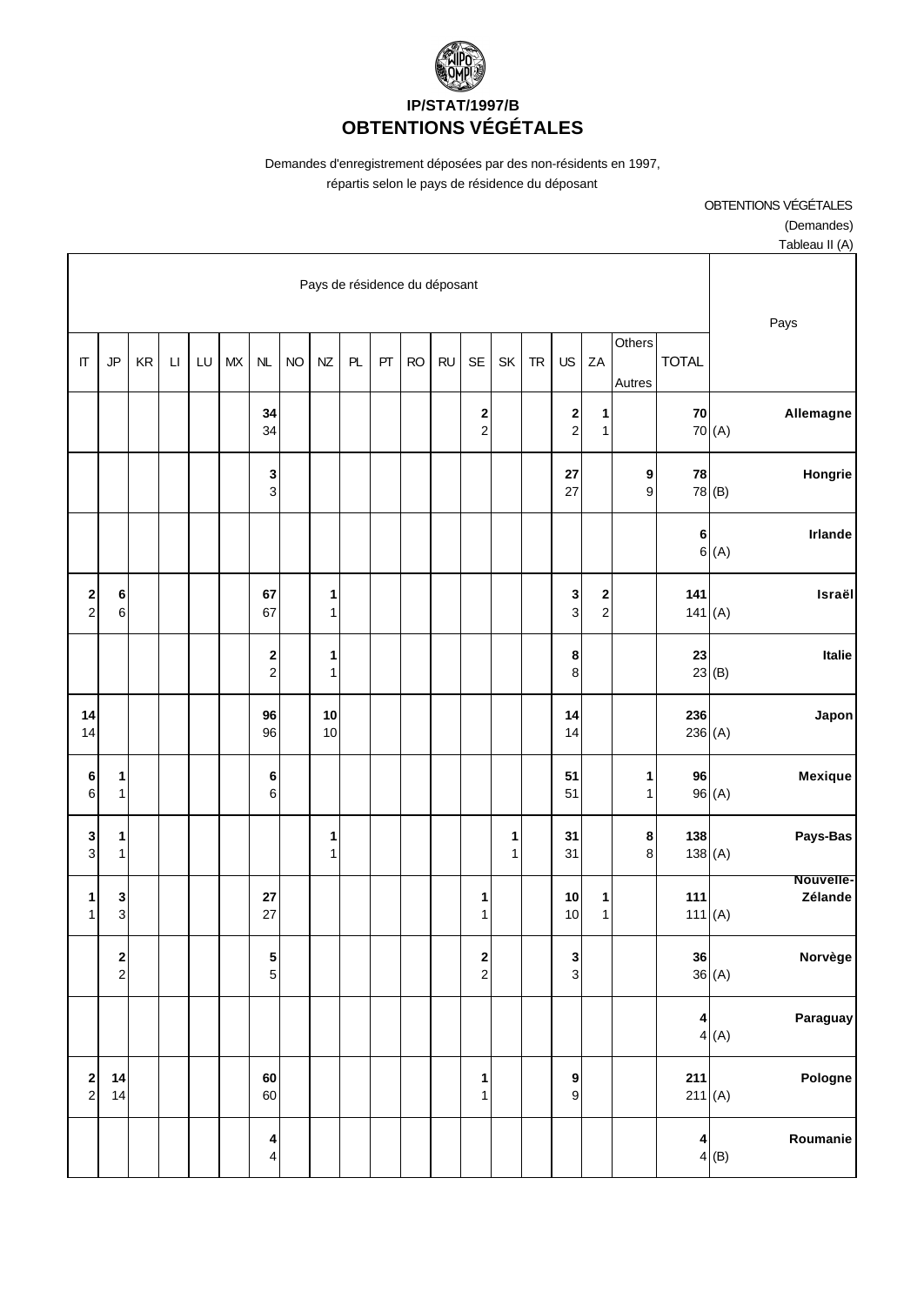

# **IP/STAT/1997/B OBTENTIONS VÉGÉTALES**

Demandes d'enregistrement déposées par des non-résidents en 1997,

OBTENTIONS VÉGÉTALES

répartis selon le pays de résidence du déposant

|                                                |                                                |    |                        |    |    |                                    |           |                   |    |    |           |           |                                       |        |           |                                           |                                           |                  |                  |                     | (Demandes)           |
|------------------------------------------------|------------------------------------------------|----|------------------------|----|----|------------------------------------|-----------|-------------------|----|----|-----------|-----------|---------------------------------------|--------|-----------|-------------------------------------------|-------------------------------------------|------------------|------------------|---------------------|----------------------|
|                                                |                                                |    |                        |    |    |                                    |           |                   |    |    |           |           |                                       |        |           |                                           |                                           |                  |                  |                     | Tableau II (A)       |
|                                                | Pays de résidence du déposant                  |    |                        |    |    |                                    |           |                   |    |    |           |           |                                       |        |           |                                           | Pays                                      |                  |                  |                     |                      |
| $\Pi$                                          | JP                                             | KR | $\mathsf{L}\mathsf{I}$ | LU | MX | NL                                 | <b>NO</b> | NZ                | PL | PT | <b>RO</b> | <b>RU</b> | <b>SE</b>                             | SK     | <b>TR</b> | US                                        | ZA                                        | Others<br>Autres | <b>TOTAL</b>     |                     |                      |
|                                                |                                                |    |                        |    |    | 34<br>34                           |           |                   |    |    |           |           | 2<br>$\overline{c}$                   |        |           | $\overline{\mathbf{c}}$<br>$\overline{2}$ | 1<br>1                                    |                  | ${\bf 70}$       | 70(A)               | Allemagne            |
|                                                |                                                |    |                        |    |    | $\mathbf 3$<br>$\mathbf{3}$        |           |                   |    |    |           |           |                                       |        |           | 27<br>27                                  |                                           | 9<br>9           | 78               | 78 (B)              | Hongrie              |
|                                                |                                                |    |                        |    |    |                                    |           |                   |    |    |           |           |                                       |        |           |                                           |                                           |                  | 6                | 6(A)                | Irlande              |
| $\begin{array}{c} \mathbf{2} \\ 2 \end{array}$ | 6<br>$\,6\,$                                   |    |                        |    |    | 67<br>67                           |           | 1<br>$\mathbf{1}$ |    |    |           |           |                                       |        |           | 3<br>$\overline{3}$                       | $\overline{\mathbf{c}}$<br>$\overline{c}$ |                  | 141<br>141(A)    |                     | Israël               |
|                                                |                                                |    |                        |    |    | $\boldsymbol{2}$<br>$\overline{2}$ |           | 1<br>$\mathbf{1}$ |    |    |           |           |                                       |        |           | 8<br>8                                    |                                           |                  | 23               | $23$ <sup>(B)</sup> | Italie               |
| 14<br>14                                       |                                                |    |                        |    |    | 96<br>96                           |           | 10<br>10          |    |    |           |           |                                       |        |           | 14<br>14                                  |                                           |                  | 236<br>236(A)    |                     | Japon                |
| 6<br>$\,6\,$                                   | 1<br>$\mathbf{1}$                              |    |                        |    |    | $\bf 6$<br>$\,6\,$                 |           |                   |    |    |           |           |                                       |        |           | 51<br>51                                  |                                           | 1<br>1           | 96               | 96(A)               | Mexique              |
| $\frac{3}{3}$                                  | 1<br>$\mathbf 1$                               |    |                        |    |    |                                    |           | 1<br>$\mathbf{1}$ |    |    |           |           |                                       | 1<br>1 |           | 31<br>31                                  |                                           | 8<br>$\bf 8$     | 138<br>138(A)    |                     | Pays-Bas             |
| 1<br>$1\vert$                                  | 3<br>$\mathbf{3}$                              |    |                        |    |    | 27<br>27                           |           |                   |    |    |           |           | 1<br>1                                |        |           | 10<br>10                                  | 1<br>1                                    |                  | 111<br>111 $(A)$ |                     | Nouvelle-<br>Zélande |
|                                                | $\begin{array}{c} \mathbf{2} \\ 2 \end{array}$ |    |                        |    |    | ${\bf 5}$<br>$\overline{5}$        |           |                   |    |    |           |           | $\begin{array}{c} 2 \\ 2 \end{array}$ |        |           | 3<br>$\mathbf{3}$                         |                                           |                  | 36               | 36(A)               | Norvège              |
|                                                |                                                |    |                        |    |    |                                    |           |                   |    |    |           |           |                                       |        |           |                                           |                                           |                  | 4                | 4(A)                | Paraguay             |
| $\begin{array}{c} \n2 \\ \n2 \n\end{array}$    | 14<br>14                                       |    |                        |    |    | 60<br>60                           |           |                   |    |    |           |           | 1<br>1                                |        |           | $\boldsymbol{9}$<br>$\boldsymbol{9}$      |                                           |                  | 211<br>211(A)    |                     | Pologne              |
|                                                |                                                |    |                        |    |    | 4<br>$\overline{\mathbf{4}}$       |           |                   |    |    |           |           |                                       |        |           |                                           |                                           |                  | 4                | 4(B)                | Roumanie             |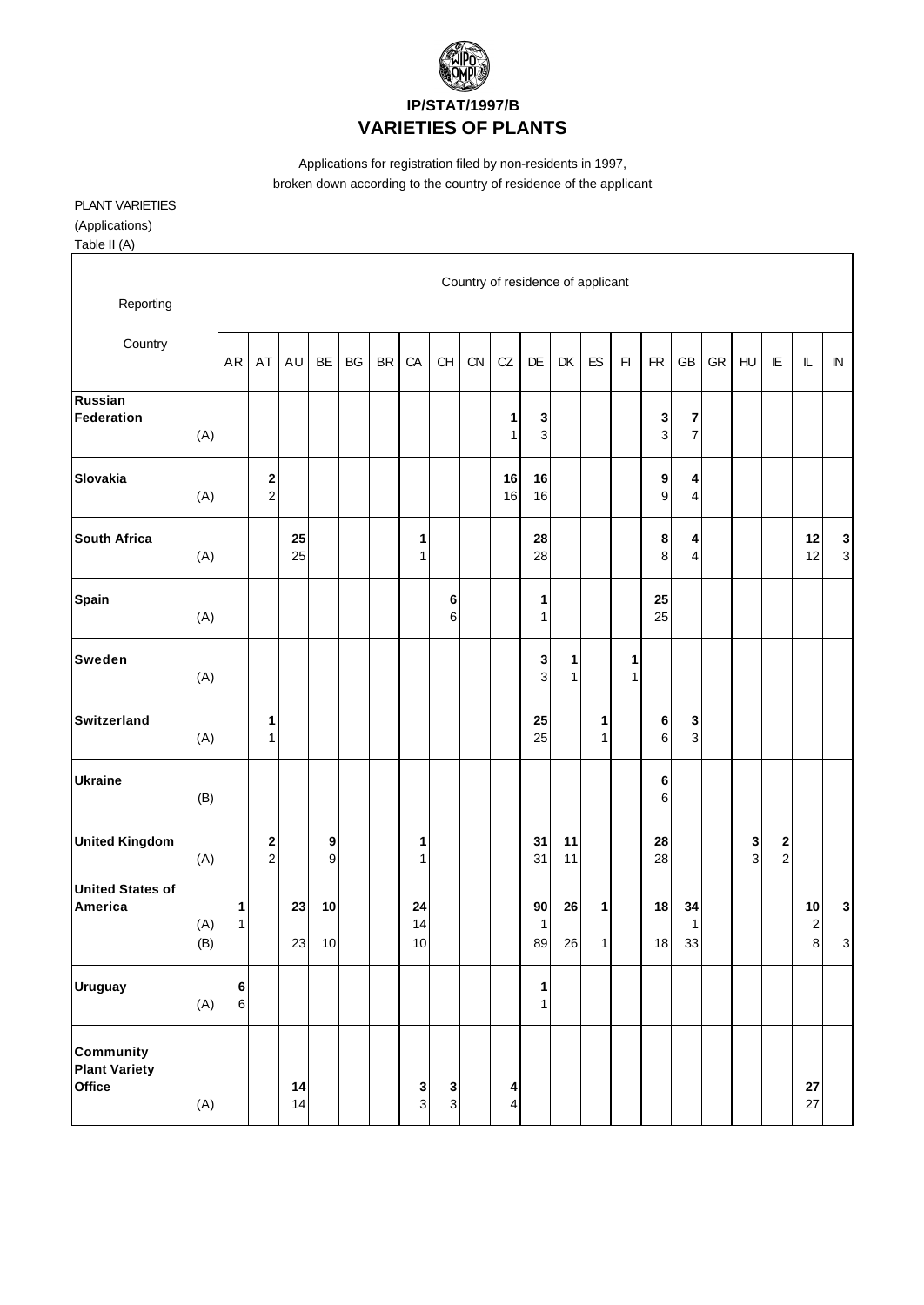

### **IP/STAT/1997/B VARIETIES OF PLANTS**

Applications for registration filed by non-residents in 1997, broken down according to the country of residence of the applicant

# PLANT VARIETIES

(Applications)

Table II (A)

| Reporting                                          |            |                    |                                 |          |                  |    |           |                                |               | Country of residence of applicant |          |                             |          |        |              |                   |                     |            |                                |                                                |                                    |                |
|----------------------------------------------------|------------|--------------------|---------------------------------|----------|------------------|----|-----------|--------------------------------|---------------|-----------------------------------|----------|-----------------------------|----------|--------|--------------|-------------------|---------------------|------------|--------------------------------|------------------------------------------------|------------------------------------|----------------|
| Country                                            |            | AR                 | AT                              | AU       | <b>BE</b>        | BG | <b>BR</b> | CA                             | <b>CH</b>     | CN                                | CZ       | <b>DE</b>                   | DK       | ES     | $\mathsf{F}$ | <b>FR</b>         | <b>GB</b>           | ${\sf GR}$ | H <sub>U</sub>                 | $\mathsf{I}\mathsf{E}$                         | $\mathbb L$                        | ${\sf IN}$     |
| Russian<br>Federation                              | (A)        |                    |                                 |          |                  |    |           |                                |               |                                   | 1<br>1   | 3<br>$\mathsf 3$            |          |        |              | 3<br>$\mathbf{3}$ | 7<br>$\overline{7}$ |            |                                |                                                |                                    |                |
| <b>Slovakia</b>                                    | (A)        |                    | $\boldsymbol{2}$<br>$\mathbf 2$ |          |                  |    |           |                                |               |                                   | 16<br>16 | 16<br>16                    |          |        |              | 9<br>9            | 4<br>4              |            |                                |                                                |                                    |                |
| <b>South Africa</b>                                | (A)        |                    |                                 | 25<br>25 |                  |    |           | 1<br>$\mathbf{1}$              |               |                                   |          | 28<br>28                    |          |        |              | $\bf8$<br>8       | 4<br>4              |            |                                |                                                | 12<br>12                           | 3 <sub>o</sub> |
| Spain                                              | (A)        |                    |                                 |          |                  |    |           |                                | 6<br>6        |                                   |          | 1<br>$\mathbf{1}$           |          |        |              | 25<br>25          |                     |            |                                |                                                |                                    |                |
| <b>Sweden</b>                                      | (A)        |                    |                                 |          |                  |    |           |                                |               |                                   |          | $\mathbf 3$<br>$\mathbf{3}$ | 1<br>1   |        | 1<br>1       |                   |                     |            |                                |                                                |                                    |                |
| <b>Switzerland</b>                                 | (A)        |                    | 1<br>1                          |          |                  |    |           |                                |               |                                   |          | 25<br>25                    |          | 1<br>1 |              | $\bf 6$<br>6      | 3<br>$\mathbf{3}$   |            |                                |                                                |                                    |                |
| <b>Ukraine</b>                                     | (B)        |                    |                                 |          |                  |    |           |                                |               |                                   |          |                             |          |        |              | 6<br>6            |                     |            |                                |                                                |                                    |                |
| <b>United Kingdom</b>                              | (A)        |                    | $\boldsymbol{2}$<br>$\mathbf 2$ |          | 9<br>$\mathsf g$ |    |           | 1<br>$\mathbf{1}$              |               |                                   |          | 31<br>31                    | 11<br>11 |        |              | 28<br>28          |                     |            | $\mathbf{3}$<br>$\overline{3}$ | $\begin{array}{c} \mathbf{2} \\ 2 \end{array}$ |                                    |                |
| <b>United States of</b><br>America                 | (A)<br>(B) | 1<br>$\mathbf{1}$  |                                 | 23<br>23 | 10<br>10         |    |           | 24<br>14<br>10                 |               |                                   |          | 90<br>1<br>89               | 26<br>26 | 1<br>1 |              | 18<br>18          | 34<br>1<br>33       |            |                                |                                                | 10<br>$\overline{\mathbf{c}}$<br>8 | ${\bf 3}$<br>3 |
| <b>Uruguay</b>                                     | (A)        | $\bf 6$<br>$\,6\,$ |                                 |          |                  |    |           |                                |               |                                   |          | 1<br>$\mathbf{1}$           |          |        |              |                   |                     |            |                                |                                                |                                    |                |
| <b>Community</b><br><b>Plant Variety</b><br>Office | (A)        |                    |                                 | 14<br>14 |                  |    |           | $\mathbf{3}$<br>3 <sup>1</sup> | <b>3</b><br>ვ |                                   | 4<br>4   |                             |          |        |              |                   |                     |            |                                |                                                | ${\bf 27}$<br>27                   |                |